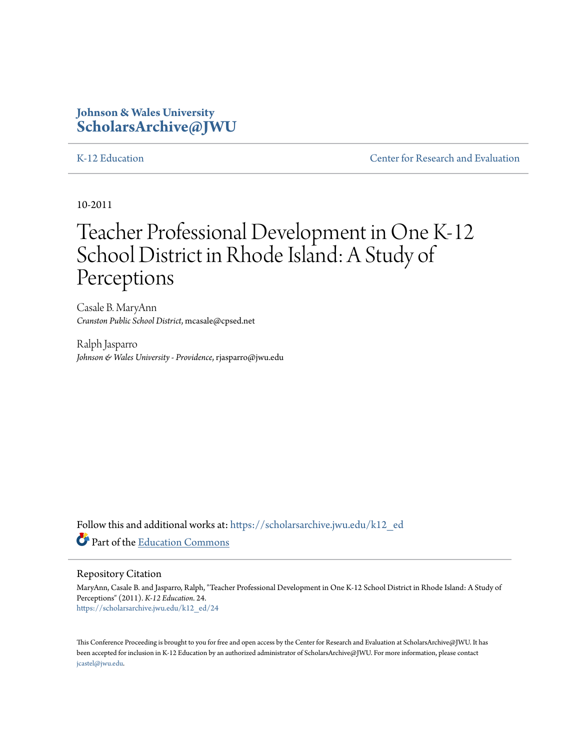# **Johnson & Wales University [ScholarsArchive@JWU](https://scholarsarchive.jwu.edu?utm_source=scholarsarchive.jwu.edu%2Fk12_ed%2F24&utm_medium=PDF&utm_campaign=PDFCoverPages)**

[K-12 Education](https://scholarsarchive.jwu.edu/k12_ed?utm_source=scholarsarchive.jwu.edu%2Fk12_ed%2F24&utm_medium=PDF&utm_campaign=PDFCoverPages) **[Center for Research and Evaluation](https://scholarsarchive.jwu.edu/research?utm_source=scholarsarchive.jwu.edu%2Fk12_ed%2F24&utm_medium=PDF&utm_campaign=PDFCoverPages)** 

10-2011

# Teacher Professional Development in One K-12 School District in Rhode Island: A Study of Perceptions

Casale B. MaryAnn *Cranston Public School District*, mcasale@cpsed.net

Ralph Jasparro *Johnson & Wales University - Providence*, rjasparro@jwu.edu

Follow this and additional works at: [https://scholarsarchive.jwu.edu/k12\\_ed](https://scholarsarchive.jwu.edu/k12_ed?utm_source=scholarsarchive.jwu.edu%2Fk12_ed%2F24&utm_medium=PDF&utm_campaign=PDFCoverPages) Part of the [Education Commons](http://network.bepress.com/hgg/discipline/784?utm_source=scholarsarchive.jwu.edu%2Fk12_ed%2F24&utm_medium=PDF&utm_campaign=PDFCoverPages)

#### Repository Citation

MaryAnn, Casale B. and Jasparro, Ralph, "Teacher Professional Development in One K-12 School District in Rhode Island: A Study of Perceptions" (2011). *K-12 Education*. 24. [https://scholarsarchive.jwu.edu/k12\\_ed/24](https://scholarsarchive.jwu.edu/k12_ed/24?utm_source=scholarsarchive.jwu.edu%2Fk12_ed%2F24&utm_medium=PDF&utm_campaign=PDFCoverPages)

This Conference Proceeding is brought to you for free and open access by the Center for Research and Evaluation at ScholarsArchive@JWU. It has been accepted for inclusion in K-12 Education by an authorized administrator of ScholarsArchive@JWU. For more information, please contact [jcastel@jwu.edu.](mailto:jcastel@jwu.edu)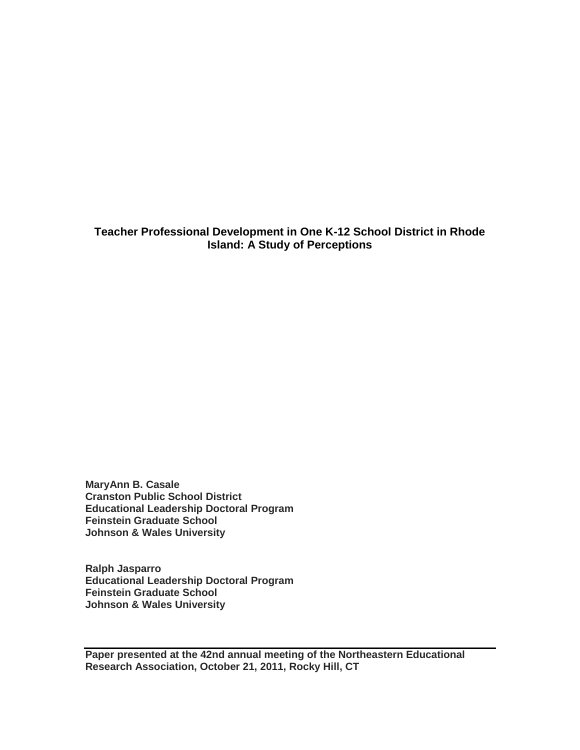**Teacher Professional Development in One K-12 School District in Rhode Island: A Study of Perceptions**

**MaryAnn B. Casale Cranston Public School District Educational Leadership Doctoral Program Feinstein Graduate School Johnson & Wales University**

**Ralph Jasparro Educational Leadership Doctoral Program Feinstein Graduate School Johnson & Wales University**

**Paper presented at the 42nd annual meeting of the Northeastern Educational Research Association, October 21, 2011, Rocky Hill, CT**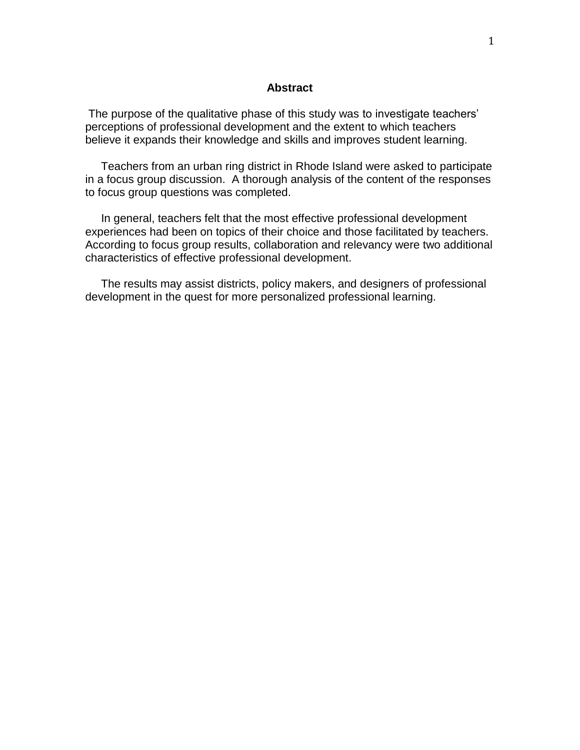#### **Abstract**

The purpose of the qualitative phase of this study was to investigate teachers' perceptions of professional development and the extent to which teachers believe it expands their knowledge and skills and improves student learning.

 Teachers from an urban ring district in Rhode Island were asked to participate in a focus group discussion. A thorough analysis of the content of the responses to focus group questions was completed.

 In general, teachers felt that the most effective professional development experiences had been on topics of their choice and those facilitated by teachers. According to focus group results, collaboration and relevancy were two additional characteristics of effective professional development.

 The results may assist districts, policy makers, and designers of professional development in the quest for more personalized professional learning.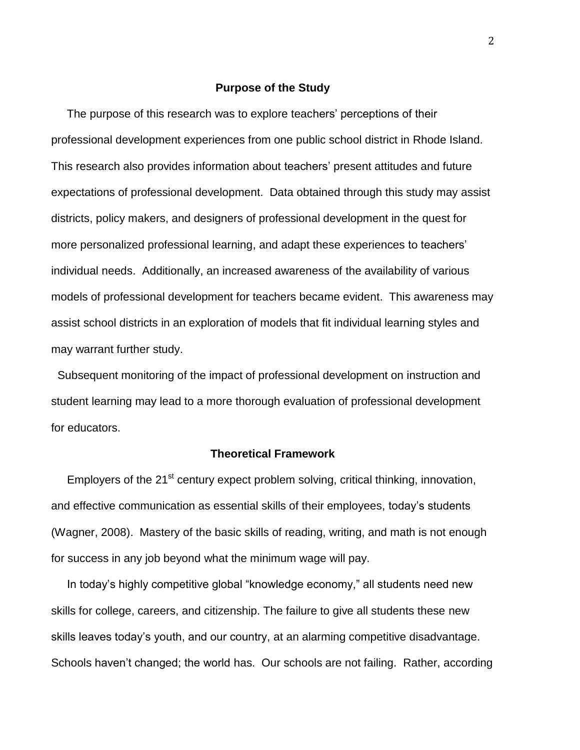#### **Purpose of the Study**

 The purpose of this research was to explore teachers' perceptions of their professional development experiences from one public school district in Rhode Island. This research also provides information about teachers' present attitudes and future expectations of professional development. Data obtained through this study may assist districts, policy makers, and designers of professional development in the quest for more personalized professional learning, and adapt these experiences to teachers' individual needs. Additionally, an increased awareness of the availability of various models of professional development for teachers became evident. This awareness may assist school districts in an exploration of models that fit individual learning styles and may warrant further study.

Subsequent monitoring of the impact of professional development on instruction and student learning may lead to a more thorough evaluation of professional development for educators.

#### **Theoretical Framework**

Employers of the  $21^{st}$  century expect problem solving, critical thinking, innovation, and effective communication as essential skills of their employees, today's students (Wagner, 2008). Mastery of the basic skills of reading, writing, and math is not enough for success in any job beyond what the minimum wage will pay.

 In today's highly competitive global "knowledge economy," all students need new skills for college, careers, and citizenship. The failure to give all students these new skills leaves today's youth, and our country, at an alarming competitive disadvantage. Schools haven't changed; the world has. Our schools are not failing. Rather, according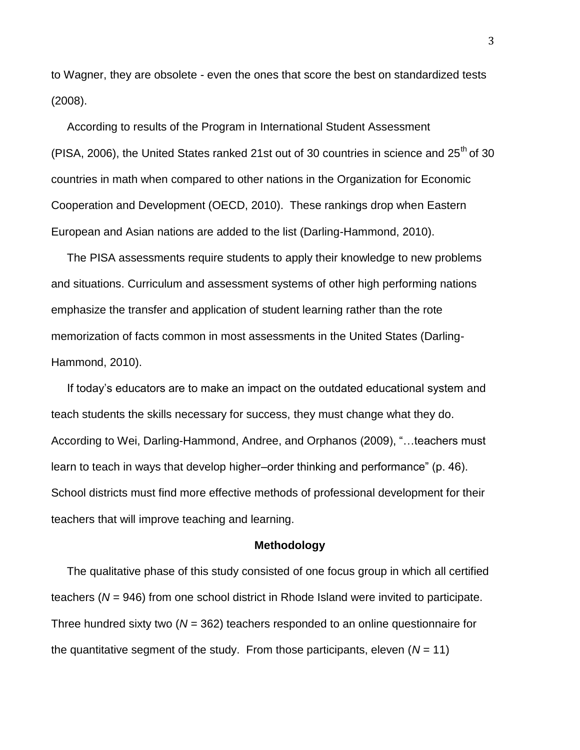to Wagner, they are obsolete - even the ones that score the best on standardized tests (2008).

 According to results of the Program in International Student Assessment (PISA, 2006), the United States ranked 21st out of 30 countries in science and  $25<sup>th</sup>$  of 30 countries in math when compared to other nations in the Organization for Economic Cooperation and Development (OECD, 2010). These rankings drop when Eastern European and Asian nations are added to the list (Darling-Hammond, 2010).

 The PISA assessments require students to apply their knowledge to new problems and situations. Curriculum and assessment systems of other high performing nations emphasize the transfer and application of student learning rather than the rote memorization of facts common in most assessments in the United States (Darling-Hammond, 2010).

 If today's educators are to make an impact on the outdated educational system and teach students the skills necessary for success, they must change what they do. According to Wei, Darling-Hammond, Andree, and Orphanos (2009), "…teachers must learn to teach in ways that develop higher–order thinking and performance" (p. 46). School districts must find more effective methods of professional development for their teachers that will improve teaching and learning.

#### **Methodology**

 The qualitative phase of this study consisted of one focus group in which all certified teachers (*N* = 946) from one school district in Rhode Island were invited to participate. Three hundred sixty two (*N* = 362) teachers responded to an online questionnaire for the quantitative segment of the study. From those participants, eleven  $(N = 11)$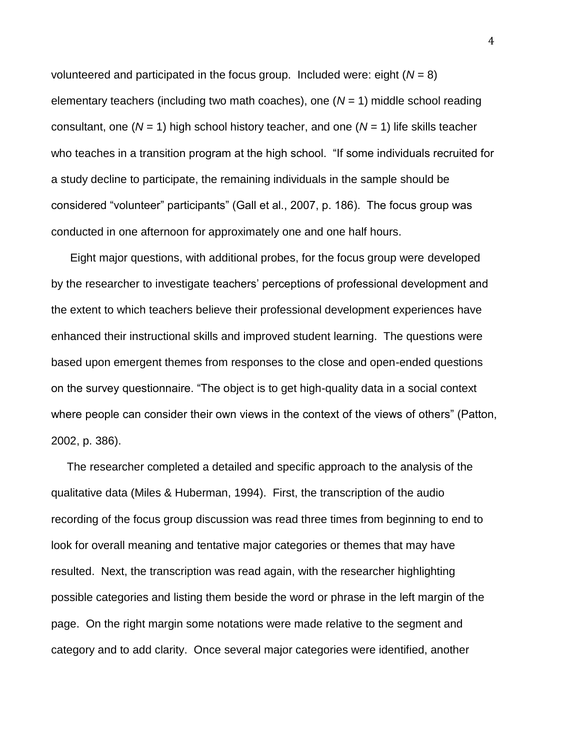volunteered and participated in the focus group. Included were: eight (*N* = 8) elementary teachers (including two math coaches), one (*N* = 1) middle school reading consultant, one (*N* = 1) high school history teacher, and one (*N* = 1) life skills teacher who teaches in a transition program at the high school. "If some individuals recruited for a study decline to participate, the remaining individuals in the sample should be considered "volunteer" participants" (Gall et al., 2007, p. 186). The focus group was conducted in one afternoon for approximately one and one half hours.

 Eight major questions, with additional probes, for the focus group were developed by the researcher to investigate teachers' perceptions of professional development and the extent to which teachers believe their professional development experiences have enhanced their instructional skills and improved student learning. The questions were based upon emergent themes from responses to the close and open-ended questions on the survey questionnaire. "The object is to get high-quality data in a social context where people can consider their own views in the context of the views of others" (Patton, 2002, p. 386).

 The researcher completed a detailed and specific approach to the analysis of the qualitative data (Miles & Huberman, 1994). First, the transcription of the audio recording of the focus group discussion was read three times from beginning to end to look for overall meaning and tentative major categories or themes that may have resulted. Next, the transcription was read again, with the researcher highlighting possible categories and listing them beside the word or phrase in the left margin of the page. On the right margin some notations were made relative to the segment and category and to add clarity. Once several major categories were identified, another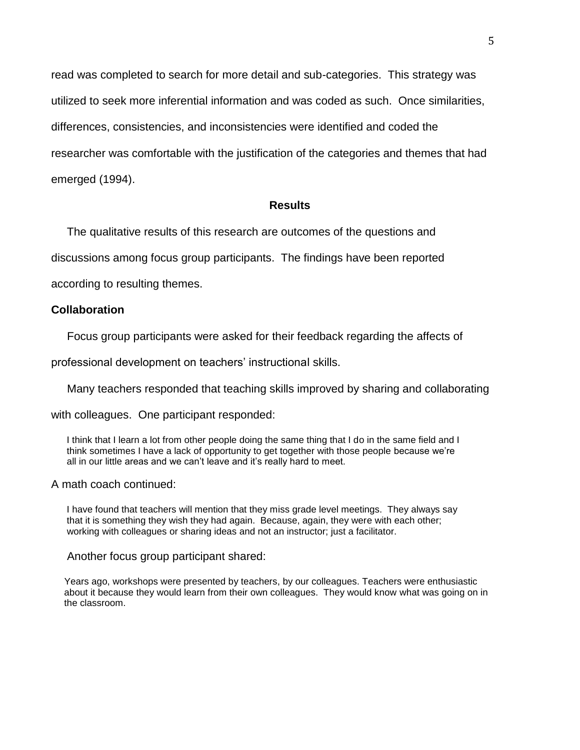read was completed to search for more detail and sub-categories. This strategy was utilized to seek more inferential information and was coded as such. Once similarities, differences, consistencies, and inconsistencies were identified and coded the researcher was comfortable with the justification of the categories and themes that had emerged (1994).

#### **Results**

The qualitative results of this research are outcomes of the questions and

discussions among focus group participants. The findings have been reported

according to resulting themes.

#### **Collaboration**

Focus group participants were asked for their feedback regarding the affects of

professional development on teachers' instructional skills.

Many teachers responded that teaching skills improved by sharing and collaborating

with colleagues. One participant responded:

 I think that I learn a lot from other people doing the same thing that I do in the same field and I think sometimes I have a lack of opportunity to get together with those people because we're all in our little areas and we can't leave and it's really hard to meet.

A math coach continued:

 I have found that teachers will mention that they miss grade level meetings. They always say that it is something they wish they had again. Because, again, they were with each other; working with colleagues or sharing ideas and not an instructor; just a facilitator.

#### Another focus group participant shared:

 Years ago, workshops were presented by teachers, by our colleagues. Teachers were enthusiastic about it because they would learn from their own colleagues. They would know what was going on in the classroom.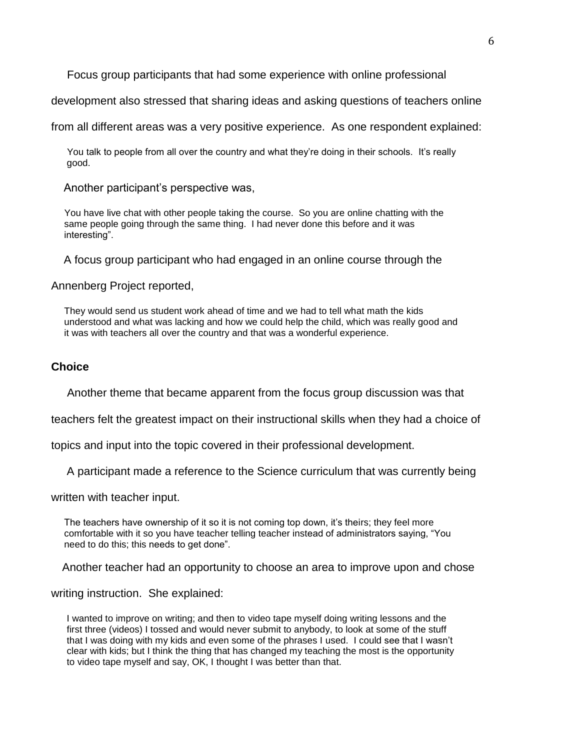Focus group participants that had some experience with online professional

development also stressed that sharing ideas and asking questions of teachers online

from all different areas was a very positive experience. As one respondent explained:

 You talk to people from all over the country and what they're doing in their schools. It's really good.

Another participant's perspective was,

 You have live chat with other people taking the course. So you are online chatting with the same people going through the same thing. I had never done this before and it was interesting".

A focus group participant who had engaged in an online course through the

Annenberg Project reported,

 They would send us student work ahead of time and we had to tell what math the kids understood and what was lacking and how we could help the child, which was really good and it was with teachers all over the country and that was a wonderful experience.

#### **Choice**

Another theme that became apparent from the focus group discussion was that

teachers felt the greatest impact on their instructional skills when they had a choice of

topics and input into the topic covered in their professional development.

A participant made a reference to the Science curriculum that was currently being

written with teacher input.

 The teachers have ownership of it so it is not coming top down, it's theirs; they feel more comfortable with it so you have teacher telling teacher instead of administrators saying, "You need to do this; this needs to get done".

Another teacher had an opportunity to choose an area to improve upon and chose

writing instruction. She explained:

 I wanted to improve on writing; and then to video tape myself doing writing lessons and the first three (videos) I tossed and would never submit to anybody, to look at some of the stuff that I was doing with my kids and even some of the phrases I used. I could see that I wasn't clear with kids; but I think the thing that has changed my teaching the most is the opportunity to video tape myself and say, OK, I thought I was better than that.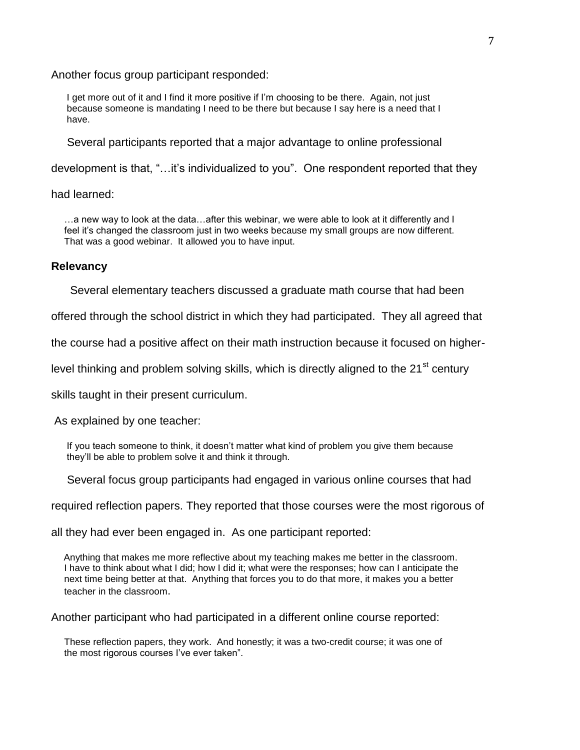Another focus group participant responded:

 I get more out of it and I find it more positive if I'm choosing to be there. Again, not just because someone is mandating I need to be there but because I say here is a need that I have.

Several participants reported that a major advantage to online professional

development is that, "…it's individualized to you". One respondent reported that they

had learned:

 …a new way to look at the data…after this webinar, we were able to look at it differently and I feel it's changed the classroom just in two weeks because my small groups are now different. That was a good webinar. It allowed you to have input.

#### **Relevancy**

Several elementary teachers discussed a graduate math course that had been

offered through the school district in which they had participated. They all agreed that

the course had a positive affect on their math instruction because it focused on higher-

level thinking and problem solving skills, which is directly aligned to the  $21<sup>st</sup>$  century

skills taught in their present curriculum.

As explained by one teacher:

 If you teach someone to think, it doesn't matter what kind of problem you give them because they'll be able to problem solve it and think it through.

Several focus group participants had engaged in various online courses that had

required reflection papers. They reported that those courses were the most rigorous of

all they had ever been engaged in. As one participant reported:

 Anything that makes me more reflective about my teaching makes me better in the classroom. I have to think about what I did; how I did it; what were the responses; how can I anticipate the next time being better at that. Anything that forces you to do that more, it makes you a better teacher in the classroom.

Another participant who had participated in a different online course reported:

 These reflection papers, they work. And honestly; it was a two-credit course; it was one of the most rigorous courses I've ever taken".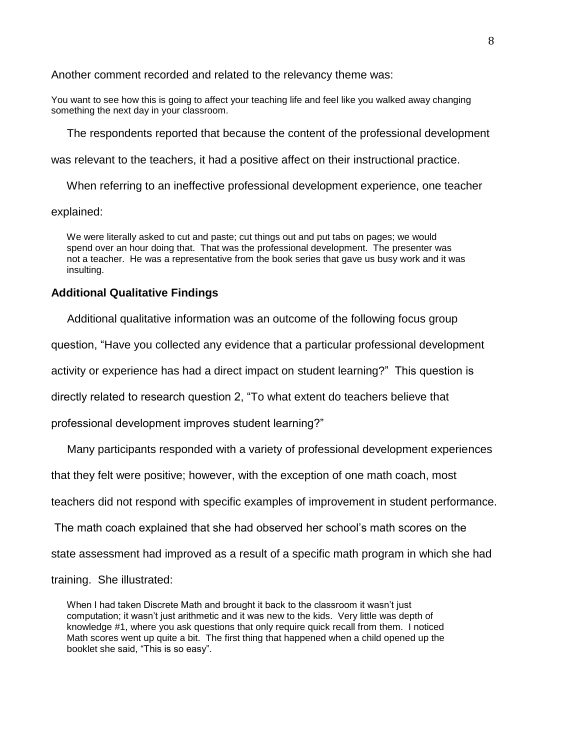Another comment recorded and related to the relevancy theme was:

You want to see how this is going to affect your teaching life and feel like you walked away changing something the next day in your classroom.

The respondents reported that because the content of the professional development

was relevant to the teachers, it had a positive affect on their instructional practice.

When referring to an ineffective professional development experience, one teacher

explained:

 We were literally asked to cut and paste; cut things out and put tabs on pages; we would spend over an hour doing that. That was the professional development. The presenter was not a teacher. He was a representative from the book series that gave us busy work and it was insulting.

#### **Additional Qualitative Findings**

Additional qualitative information was an outcome of the following focus group

question, "Have you collected any evidence that a particular professional development

activity or experience has had a direct impact on student learning?" This question is

directly related to research question 2, "To what extent do teachers believe that

professional development improves student learning?"

Many participants responded with a variety of professional development experiences

that they felt were positive; however, with the exception of one math coach, most

teachers did not respond with specific examples of improvement in student performance.

The math coach explained that she had observed her school's math scores on the

state assessment had improved as a result of a specific math program in which she had

training. She illustrated:

 When I had taken Discrete Math and brought it back to the classroom it wasn't just computation; it wasn't just arithmetic and it was new to the kids. Very little was depth of knowledge #1, where you ask questions that only require quick recall from them. I noticed Math scores went up quite a bit. The first thing that happened when a child opened up the booklet she said, "This is so easy".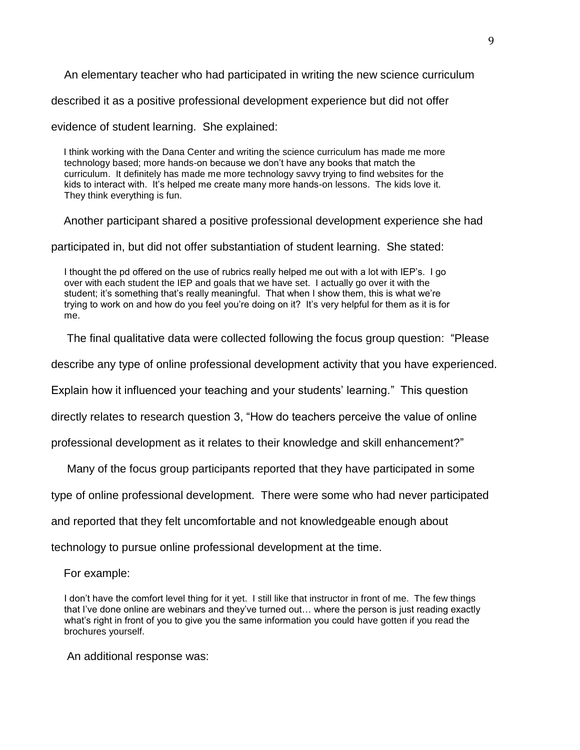An elementary teacher who had participated in writing the new science curriculum

described it as a positive professional development experience but did not offer

evidence of student learning. She explained:

 I think working with the Dana Center and writing the science curriculum has made me more technology based; more hands-on because we don't have any books that match the curriculum. It definitely has made me more technology savvy trying to find websites for the kids to interact with. It's helped me create many more hands-on lessons. The kids love it. They think everything is fun.

Another participant shared a positive professional development experience she had

participated in, but did not offer substantiation of student learning. She stated:

 I thought the pd offered on the use of rubrics really helped me out with a lot with IEP's. I go over with each student the IEP and goals that we have set. I actually go over it with the student; it's something that's really meaningful. That when I show them, this is what we're trying to work on and how do you feel you're doing on it? It's very helpful for them as it is for me.

The final qualitative data were collected following the focus group question: "Please

describe any type of online professional development activity that you have experienced.

Explain how it influenced your teaching and your students' learning." This question

directly relates to research question 3, "How do teachers perceive the value of online

professional development as it relates to their knowledge and skill enhancement?"

Many of the focus group participants reported that they have participated in some

type of online professional development. There were some who had never participated

and reported that they felt uncomfortable and not knowledgeable enough about

technology to pursue online professional development at the time.

For example:

 I don't have the comfort level thing for it yet. I still like that instructor in front of me. The few things that I've done online are webinars and they've turned out… where the person is just reading exactly what's right in front of you to give you the same information you could have gotten if you read the brochures yourself.

An additional response was: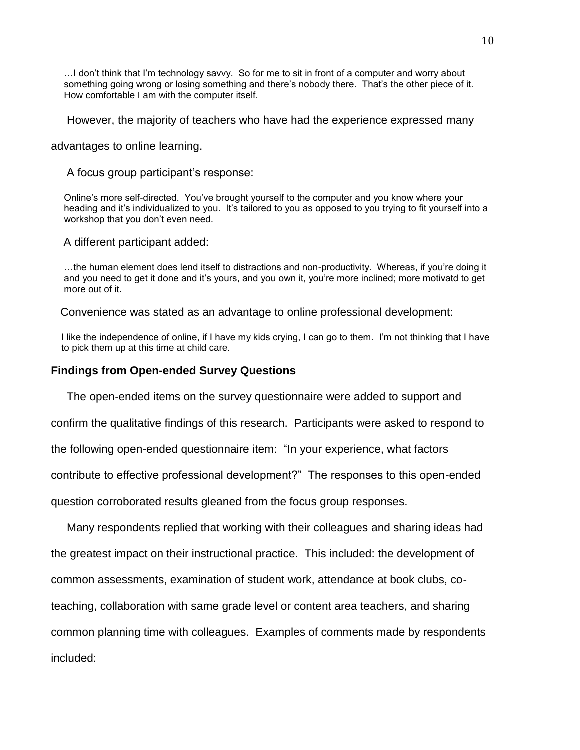…I don't think that I'm technology savvy. So for me to sit in front of a computer and worry about something going wrong or losing something and there's nobody there. That's the other piece of it. How comfortable I am with the computer itself.

However, the majority of teachers who have had the experience expressed many

advantages to online learning.

A focus group participant's response:

 Online's more self-directed. You've brought yourself to the computer and you know where your heading and it's individualized to you. It's tailored to you as opposed to you trying to fit yourself into a workshop that you don't even need.

A different participant added:

 …the human element does lend itself to distractions and non-productivity. Whereas, if you're doing it and you need to get it done and it's yours, and you own it, you're more inclined; more motivatd to get more out of it.

Convenience was stated as an advantage to online professional development:

 I like the independence of online, if I have my kids crying, I can go to them. I'm not thinking that I have to pick them up at this time at child care.

#### **Findings from Open-ended Survey Questions**

The open-ended items on the survey questionnaire were added to support and

confirm the qualitative findings of this research. Participants were asked to respond to

the following open-ended questionnaire item: "In your experience, what factors

contribute to effective professional development?" The responses to this open-ended

question corroborated results gleaned from the focus group responses.

Many respondents replied that working with their colleagues and sharing ideas had the greatest impact on their instructional practice. This included: the development of common assessments, examination of student work, attendance at book clubs, coteaching, collaboration with same grade level or content area teachers, and sharing common planning time with colleagues. Examples of comments made by respondents included: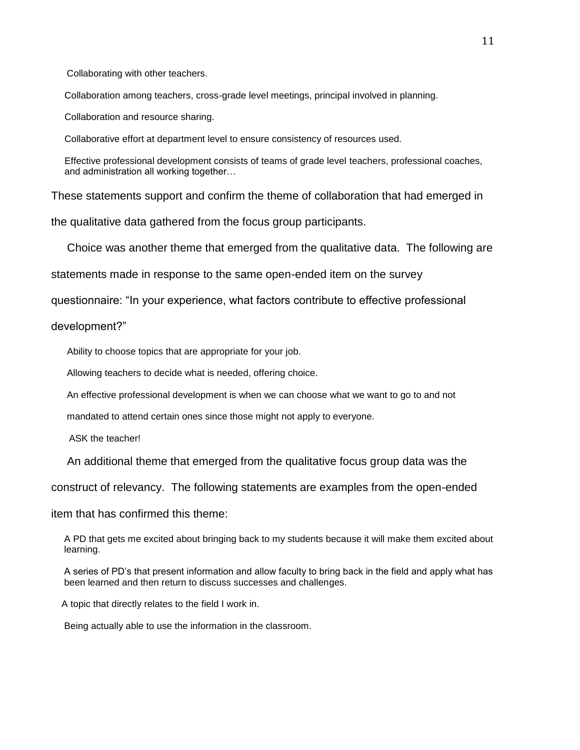Collaborating with other teachers.

Collaboration among teachers, cross-grade level meetings, principal involved in planning.

Collaboration and resource sharing.

Collaborative effort at department level to ensure consistency of resources used.

 Effective professional development consists of teams of grade level teachers, professional coaches, and administration all working together…

These statements support and confirm the theme of collaboration that had emerged in

the qualitative data gathered from the focus group participants.

Choice was another theme that emerged from the qualitative data. The following are

statements made in response to the same open-ended item on the survey

questionnaire: "In your experience, what factors contribute to effective professional

development?"

Ability to choose topics that are appropriate for your job.

Allowing teachers to decide what is needed, offering choice.

An effective professional development is when we can choose what we want to go to and not

mandated to attend certain ones since those might not apply to everyone.

ASK the teacher!

An additional theme that emerged from the qualitative focus group data was the

construct of relevancy. The following statements are examples from the open-ended

item that has confirmed this theme:

 A PD that gets me excited about bringing back to my students because it will make them excited about learning.

 A series of PD's that present information and allow faculty to bring back in the field and apply what has been learned and then return to discuss successes and challenges.

A topic that directly relates to the field I work in.

Being actually able to use the information in the classroom.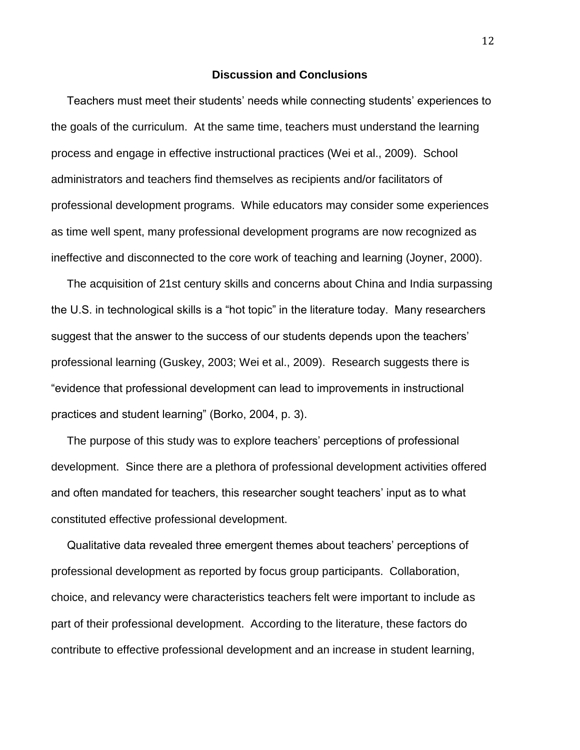#### **Discussion and Conclusions**

 Teachers must meet their students' needs while connecting students' experiences to the goals of the curriculum. At the same time, teachers must understand the learning process and engage in effective instructional practices (Wei et al., 2009). School administrators and teachers find themselves as recipients and/or facilitators of professional development programs. While educators may consider some experiences as time well spent, many professional development programs are now recognized as ineffective and disconnected to the core work of teaching and learning (Joyner, 2000).

 The acquisition of 21st century skills and concerns about China and India surpassing the U.S. in technological skills is a "hot topic" in the literature today. Many researchers suggest that the answer to the success of our students depends upon the teachers' professional learning (Guskey, 2003; Wei et al., 2009). Research suggests there is "evidence that professional development can lead to improvements in instructional practices and student learning" (Borko, 2004, p. 3).

 The purpose of this study was to explore teachers' perceptions of professional development. Since there are a plethora of professional development activities offered and often mandated for teachers, this researcher sought teachers' input as to what constituted effective professional development.

 Qualitative data revealed three emergent themes about teachers' perceptions of professional development as reported by focus group participants. Collaboration, choice, and relevancy were characteristics teachers felt were important to include as part of their professional development. According to the literature, these factors do contribute to effective professional development and an increase in student learning,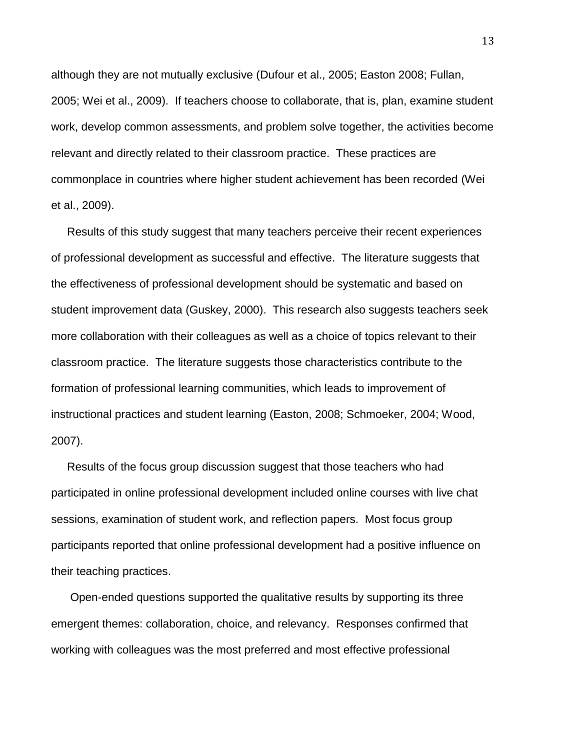although they are not mutually exclusive (Dufour et al., 2005; Easton 2008; Fullan, 2005; Wei et al., 2009). If teachers choose to collaborate, that is, plan, examine student work, develop common assessments, and problem solve together, the activities become relevant and directly related to their classroom practice. These practices are commonplace in countries where higher student achievement has been recorded (Wei et al., 2009).

 Results of this study suggest that many teachers perceive their recent experiences of professional development as successful and effective. The literature suggests that the effectiveness of professional development should be systematic and based on student improvement data (Guskey, 2000). This research also suggests teachers seek more collaboration with their colleagues as well as a choice of topics relevant to their classroom practice. The literature suggests those characteristics contribute to the formation of professional learning communities, which leads to improvement of instructional practices and student learning (Easton, 2008; Schmoeker, 2004; Wood, 2007).

 Results of the focus group discussion suggest that those teachers who had participated in online professional development included online courses with live chat sessions, examination of student work, and reflection papers. Most focus group participants reported that online professional development had a positive influence on their teaching practices.

 Open-ended questions supported the qualitative results by supporting its three emergent themes: collaboration, choice, and relevancy. Responses confirmed that working with colleagues was the most preferred and most effective professional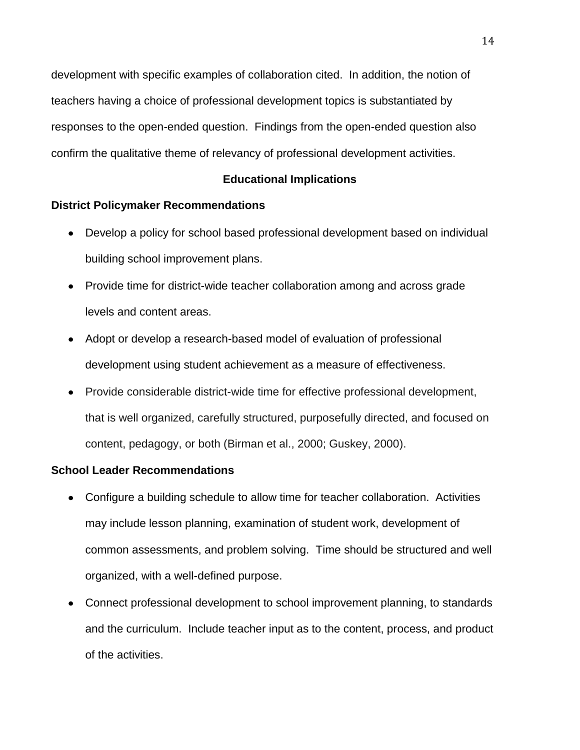development with specific examples of collaboration cited. In addition, the notion of teachers having a choice of professional development topics is substantiated by responses to the open-ended question. Findings from the open-ended question also confirm the qualitative theme of relevancy of professional development activities.

### **Educational Implications**

#### **District Policymaker Recommendations**

- Develop a policy for school based professional development based on individual building school improvement plans.
- Provide time for district-wide teacher collaboration among and across grade levels and content areas.
- Adopt or develop a research-based model of evaluation of professional development using student achievement as a measure of effectiveness.
- Provide considerable district-wide time for effective professional development, that is well organized, carefully structured, purposefully directed, and focused on content, pedagogy, or both (Birman et al., 2000; Guskey, 2000).

#### **School Leader Recommendations**

- Configure a building schedule to allow time for teacher collaboration. Activities may include lesson planning, examination of student work, development of common assessments, and problem solving. Time should be structured and well organized, with a well-defined purpose.
- Connect professional development to school improvement planning, to standards and the curriculum. Include teacher input as to the content, process, and product of the activities.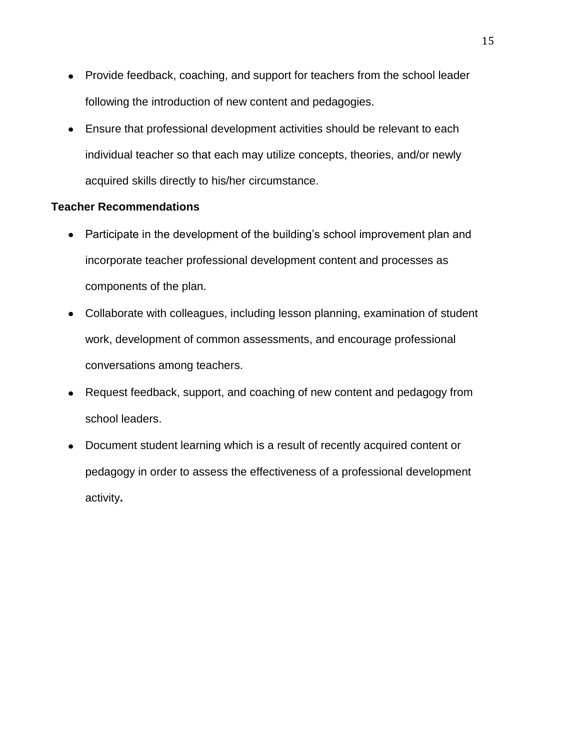- Provide feedback, coaching, and support for teachers from the school leader following the introduction of new content and pedagogies.
- Ensure that professional development activities should be relevant to each individual teacher so that each may utilize concepts, theories, and/or newly acquired skills directly to his/her circumstance.

#### **Teacher Recommendations**

- Participate in the development of the building's school improvement plan and incorporate teacher professional development content and processes as components of the plan.
- Collaborate with colleagues, including lesson planning, examination of student work, development of common assessments, and encourage professional conversations among teachers.
- Request feedback, support, and coaching of new content and pedagogy from school leaders.
- Document student learning which is a result of recently acquired content or pedagogy in order to assess the effectiveness of a professional development activity**.**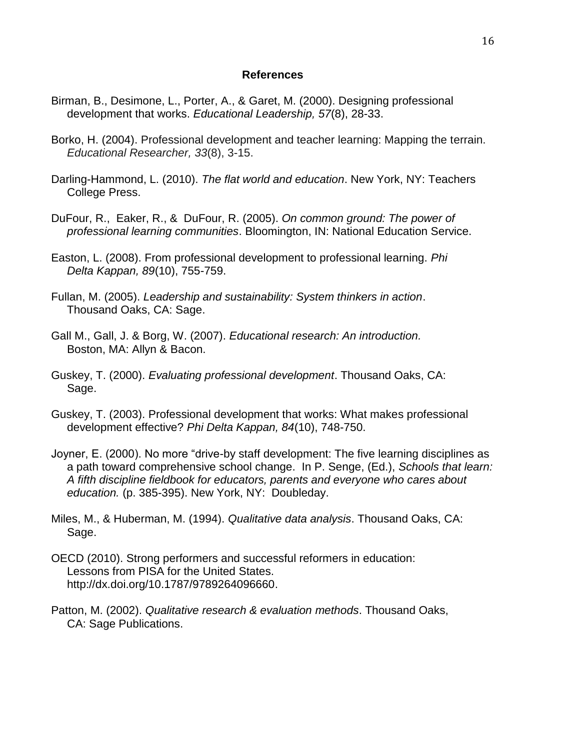#### **References**

- Birman, B., Desimone, L., Porter, A., & Garet, M. (2000). Designing professional development that works. *Educational Leadership, 57*(8), 28-33.
- Borko, H. (2004). Professional development and teacher learning: Mapping the terrain.  *Educational Researcher, 33*(8), 3-15.
- Darling-Hammond, L. (2010). *The flat world and education*. New York, NY: Teachers College Press.
- DuFour, R., Eaker, R., & DuFour, R. (2005). *On common ground: The power of professional learning communities*. Bloomington, IN: National Education Service.
- Easton, L. (2008). From professional development to professional learning. *Phi Delta Kappan, 89*(10), 755-759.
- Fullan, M. (2005). *Leadership and sustainability: System thinkers in action*. Thousand Oaks, CA: Sage.
- Gall M., Gall, J. & Borg, W. (2007). *Educational research: An introduction.*  Boston, MA: Allyn & Bacon.
- Guskey, T. (2000). *Evaluating professional development*. Thousand Oaks, CA: Sage.
- Guskey, T. (2003). Professional development that works: What makes professional development effective? *Phi Delta Kappan, 84*(10), 748-750.
- Joyner, E. (2000). No more "drive-by staff development: The five learning disciplines as a path toward comprehensive school change. In P. Senge, (Ed.), *Schools that learn: A fifth discipline fieldbook for educators, parents and everyone who cares about education.* (p. 385-395). New York, NY: Doubleday.
- Miles, M., & Huberman, M. (1994). *Qualitative data analysis*. Thousand Oaks, CA: Sage.
- OECD (2010). Strong performers and successful reformers in education: Lessons from PISA for the United States. [http://dx.doi.org/10.1787/9789264096660.](http://dx.doi.org/10.1787/9789264096660)
- Patton, M. (2002). *Qualitative research & evaluation methods*. Thousand Oaks, CA: Sage Publications.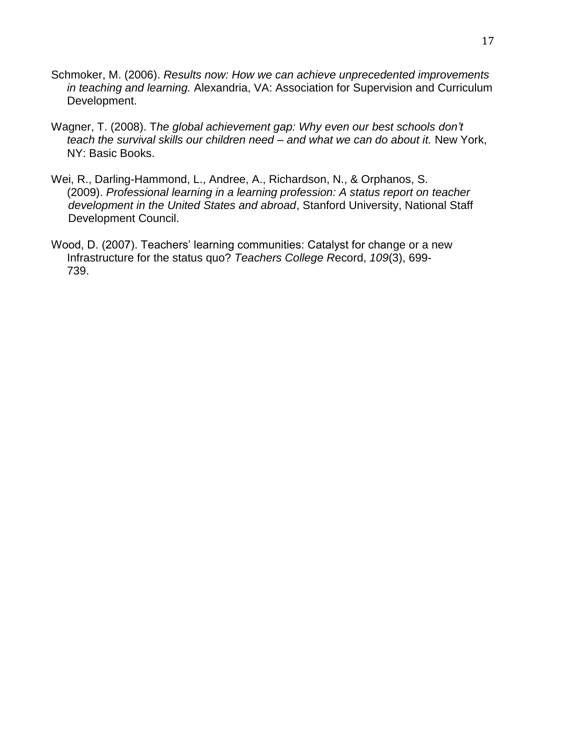- Schmoker, M. (2006). *Results now: How we can achieve unprecedented improvements in teaching and learning.* Alexandria, VA: Association for Supervision and Curriculum Development.
- Wagner, T. (2008). T*he global achievement gap: Why even our best schools don't teach the survival skills our children need – and what we can do about it.* New York, NY: Basic Books.
- Wei, R., Darling-Hammond, L., Andree, A., Richardson, N., & Orphanos, S. (2009). *Professional learning in a learning profession: A status report on teacher development in the United States and abroad*, Stanford University, National Staff Development Council.
- Wood, D. (2007). Teachers' learning communities: Catalyst for change or a new Infrastructure for the status quo? *Teachers College R*ecord, *109*(3), 699- 739.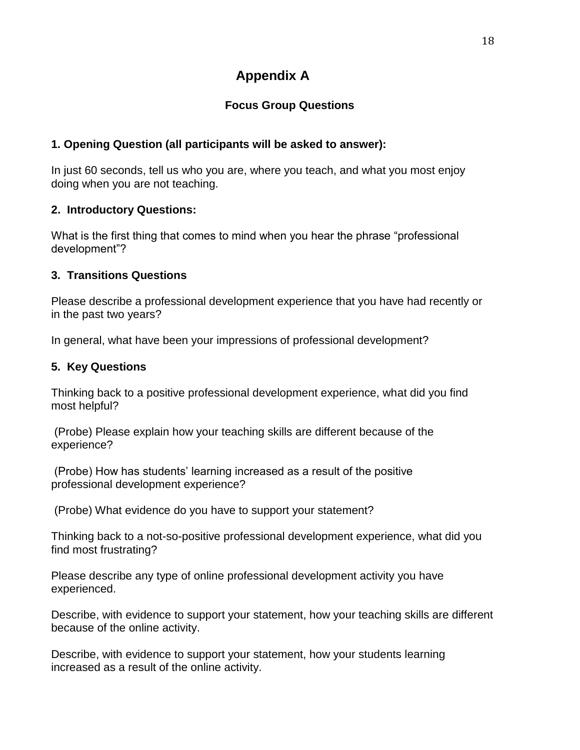# **Appendix A**

# **Focus Group Questions**

# **1. Opening Question (all participants will be asked to answer):**

In just 60 seconds, tell us who you are, where you teach, and what you most enjoy doing when you are not teaching.

# **2. Introductory Questions:**

What is the first thing that comes to mind when you hear the phrase "professional development"?

# **3. Transitions Questions**

Please describe a professional development experience that you have had recently or in the past two years?

In general, what have been your impressions of professional development?

# **5. Key Questions**

Thinking back to a positive professional development experience, what did you find most helpful?

(Probe) Please explain how your teaching skills are different because of the experience?

(Probe) How has students' learning increased as a result of the positive professional development experience?

(Probe) What evidence do you have to support your statement?

Thinking back to a not-so-positive professional development experience, what did you find most frustrating?

Please describe any type of online professional development activity you have experienced.

Describe, with evidence to support your statement, how your teaching skills are different because of the online activity.

Describe, with evidence to support your statement, how your students learning increased as a result of the online activity.